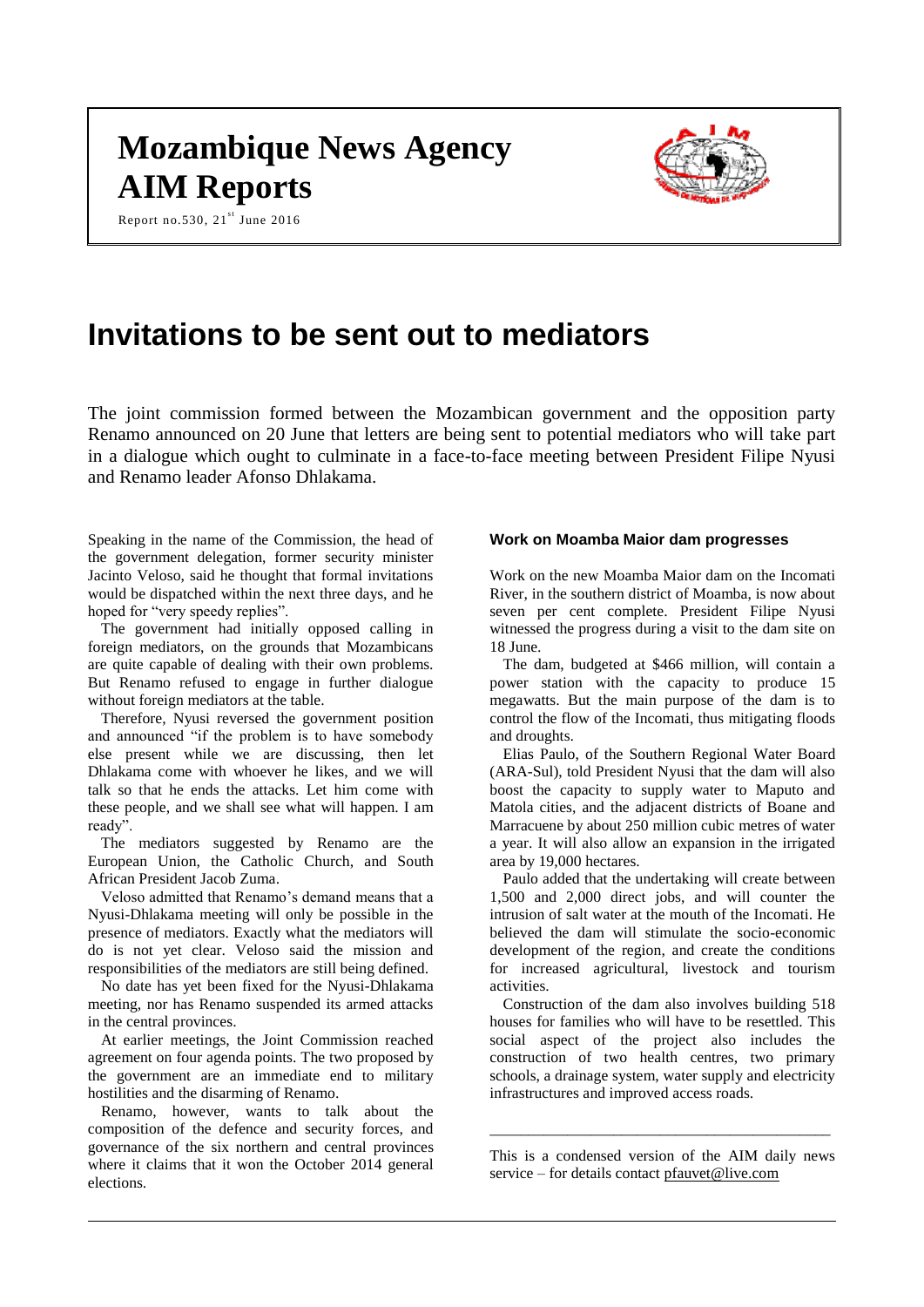# **Mozambique News Agency AIM Reports**



Report no.530,  $21^{st}$  June 2016

# **Invitations to be sent out to mediators**

The joint commission formed between the Mozambican government and the opposition party Renamo announced on 20 June that letters are being sent to potential mediators who will take part in a dialogue which ought to culminate in a face-to-face meeting between President Filipe Nyusi and Renamo leader Afonso Dhlakama.

Speaking in the name of the Commission, the head of the government delegation, former security minister Jacinto Veloso, said he thought that formal invitations would be dispatched within the next three days, and he hoped for "very speedy replies".

The government had initially opposed calling in foreign mediators, on the grounds that Mozambicans are quite capable of dealing with their own problems. But Renamo refused to engage in further dialogue without foreign mediators at the table.

Therefore, Nyusi reversed the government position and announced "if the problem is to have somebody else present while we are discussing, then let Dhlakama come with whoever he likes, and we will talk so that he ends the attacks. Let him come with these people, and we shall see what will happen. I am ready".

The mediators suggested by Renamo are the European Union, the Catholic Church, and South African President Jacob Zuma.

Veloso admitted that Renamo's demand means that a Nyusi-Dhlakama meeting will only be possible in the presence of mediators. Exactly what the mediators will do is not yet clear. Veloso said the mission and responsibilities of the mediators are still being defined.

No date has yet been fixed for the Nyusi-Dhlakama meeting, nor has Renamo suspended its armed attacks in the central provinces.

At earlier meetings, the Joint Commission reached agreement on four agenda points. The two proposed by the government are an immediate end to military hostilities and the disarming of Renamo.

Renamo, however, wants to talk about the composition of the defence and security forces, and governance of the six northern and central provinces where it claims that it won the October 2014 general elections.

## **Work on Moamba Maior dam progresses**

Work on the new Moamba Maior dam on the Incomati River, in the southern district of Moamba, is now about seven per cent complete. President Filipe Nyusi witnessed the progress during a visit to the dam site on 18 June.

The dam, budgeted at \$466 million, will contain a power station with the capacity to produce 15 megawatts. But the main purpose of the dam is to control the flow of the Incomati, thus mitigating floods and droughts.

Elias Paulo, of the Southern Regional Water Board (ARA-Sul), told President Nyusi that the dam will also boost the capacity to supply water to Maputo and Matola cities, and the adjacent districts of Boane and Marracuene by about 250 million cubic metres of water a year. It will also allow an expansion in the irrigated area by 19,000 hectares.

Paulo added that the undertaking will create between 1,500 and 2,000 direct jobs, and will counter the intrusion of salt water at the mouth of the Incomati. He believed the dam will stimulate the socio-economic development of the region, and create the conditions for increased agricultural, livestock and tourism activities.

Construction of the dam also involves building 518 houses for families who will have to be resettled. This social aspect of the project also includes the construction of two health centres, two primary schools, a drainage system, water supply and electricity infrastructures and improved access roads.

This is a condensed version of the AIM daily news service – for details contact [pfauvet@live.com](mailto:pfauvet@live.com)

\_\_\_\_\_\_\_\_\_\_\_\_\_\_\_\_\_\_\_\_\_\_\_\_\_\_\_\_\_\_\_\_\_\_\_\_\_\_\_\_\_\_\_\_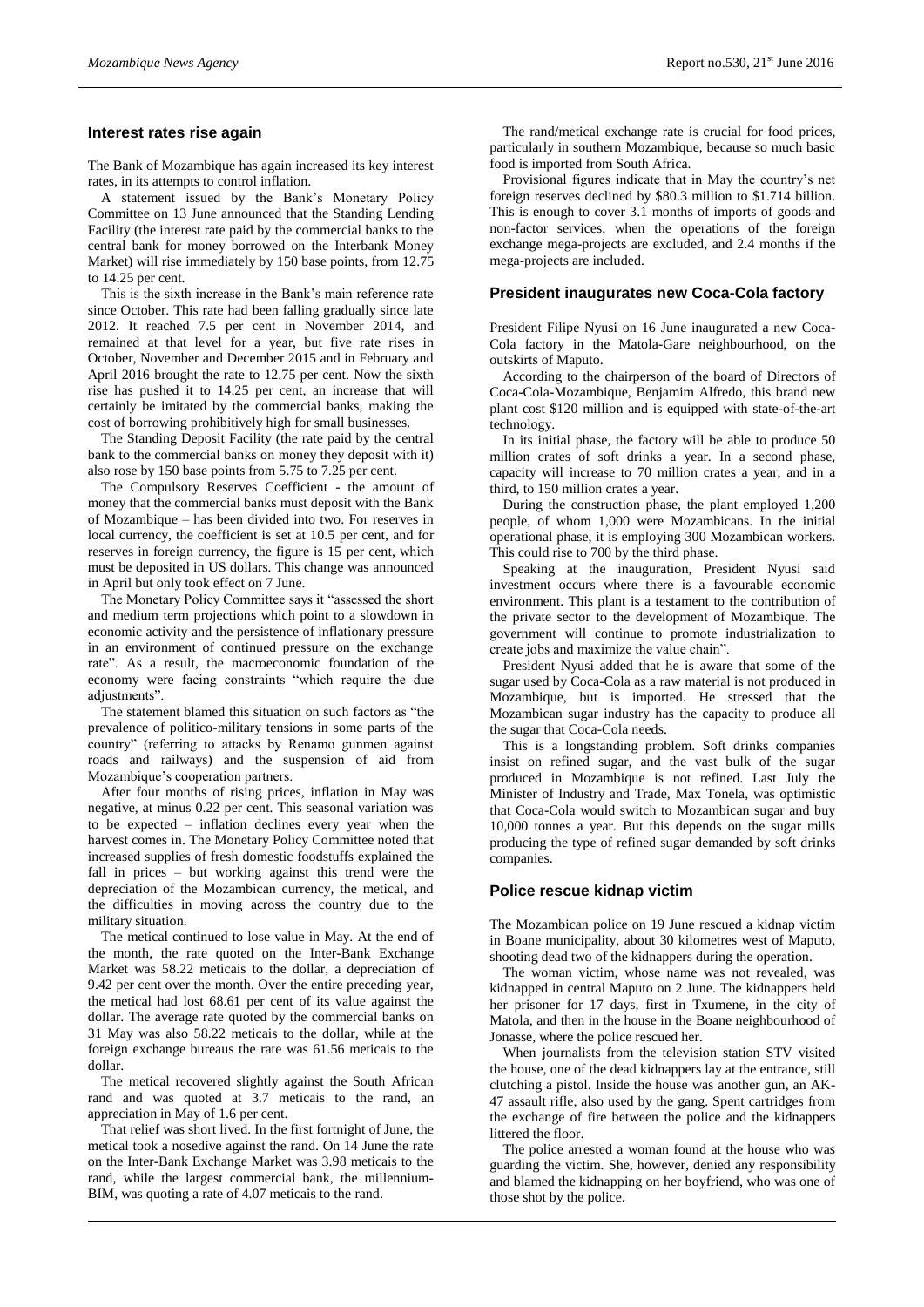#### **Interest rates rise again**

The Bank of Mozambique has again increased its key interest rates, in its attempts to control inflation.

A statement issued by the Bank's Monetary Policy Committee on 13 June announced that the Standing Lending Facility (the interest rate paid by the commercial banks to the central bank for money borrowed on the Interbank Money Market) will rise immediately by 150 base points, from 12.75 to 14.25 per cent.

This is the sixth increase in the Bank's main reference rate since October. This rate had been falling gradually since late 2012. It reached 7.5 per cent in November 2014, and remained at that level for a year, but five rate rises in October, November and December 2015 and in February and April 2016 brought the rate to 12.75 per cent. Now the sixth rise has pushed it to 14.25 per cent, an increase that will certainly be imitated by the commercial banks, making the cost of borrowing prohibitively high for small businesses.

The Standing Deposit Facility (the rate paid by the central bank to the commercial banks on money they deposit with it) also rose by 150 base points from 5.75 to 7.25 per cent.

The Compulsory Reserves Coefficient - the amount of money that the commercial banks must deposit with the Bank of Mozambique – has been divided into two. For reserves in local currency, the coefficient is set at 10.5 per cent, and for reserves in foreign currency, the figure is 15 per cent, which must be deposited in US dollars. This change was announced in April but only took effect on 7 June.

The Monetary Policy Committee says it "assessed the short and medium term projections which point to a slowdown in economic activity and the persistence of inflationary pressure in an environment of continued pressure on the exchange rate". As a result, the macroeconomic foundation of the economy were facing constraints "which require the due adjustments".

The statement blamed this situation on such factors as "the prevalence of politico-military tensions in some parts of the country" (referring to attacks by Renamo gunmen against roads and railways) and the suspension of aid from Mozambique's cooperation partners.

After four months of rising prices, inflation in May was negative, at minus 0.22 per cent. This seasonal variation was to be expected – inflation declines every year when the harvest comes in. The Monetary Policy Committee noted that increased supplies of fresh domestic foodstuffs explained the fall in prices – but working against this trend were the depreciation of the Mozambican currency, the metical, and the difficulties in moving across the country due to the military situation.

The metical continued to lose value in May. At the end of the month, the rate quoted on the Inter-Bank Exchange Market was 58.22 meticais to the dollar, a depreciation of 9.42 per cent over the month. Over the entire preceding year, the metical had lost 68.61 per cent of its value against the dollar. The average rate quoted by the commercial banks on 31 May was also 58.22 meticais to the dollar, while at the foreign exchange bureaus the rate was 61.56 meticais to the dollar.

The metical recovered slightly against the South African rand and was quoted at 3.7 meticais to the rand, an appreciation in May of 1.6 per cent.

That relief was short lived. In the first fortnight of June, the metical took a nosedive against the rand. On 14 June the rate on the Inter-Bank Exchange Market was 3.98 meticais to the rand, while the largest commercial bank, the millennium-BIM, was quoting a rate of 4.07 meticais to the rand.

The rand/metical exchange rate is crucial for food prices, particularly in southern Mozambique, because so much basic food is imported from South Africa.

Provisional figures indicate that in May the country's net foreign reserves declined by \$80.3 million to \$1.714 billion. This is enough to cover 3.1 months of imports of goods and non-factor services, when the operations of the foreign exchange mega-projects are excluded, and 2.4 months if the mega-projects are included.

#### **President inaugurates new Coca-Cola factory**

President Filipe Nyusi on 16 June inaugurated a new Coca-Cola factory in the Matola-Gare neighbourhood, on the outskirts of Maputo.

According to the chairperson of the board of Directors of Coca-Cola-Mozambique, Benjamim Alfredo, this brand new plant cost \$120 million and is equipped with state-of-the-art technology.

In its initial phase, the factory will be able to produce 50 million crates of soft drinks a year. In a second phase, capacity will increase to 70 million crates a year, and in a third, to 150 million crates a year.

During the construction phase, the plant employed 1,200 people, of whom 1,000 were Mozambicans. In the initial operational phase, it is employing 300 Mozambican workers. This could rise to 700 by the third phase.

Speaking at the inauguration, President Nyusi said investment occurs where there is a favourable economic environment. This plant is a testament to the contribution of the private sector to the development of Mozambique. The government will continue to promote industrialization to create jobs and maximize the value chain".

President Nyusi added that he is aware that some of the sugar used by Coca-Cola as a raw material is not produced in Mozambique, but is imported. He stressed that the Mozambican sugar industry has the capacity to produce all the sugar that Coca-Cola needs.

This is a longstanding problem. Soft drinks companies insist on refined sugar, and the vast bulk of the sugar produced in Mozambique is not refined. Last July the Minister of Industry and Trade, Max Tonela, was optimistic that Coca-Cola would switch to Mozambican sugar and buy 10,000 tonnes a year. But this depends on the sugar mills producing the type of refined sugar demanded by soft drinks companies.

#### **Police rescue kidnap victim**

The Mozambican police on 19 June rescued a kidnap victim in Boane municipality, about 30 kilometres west of Maputo, shooting dead two of the kidnappers during the operation.

The woman victim, whose name was not revealed, was kidnapped in central Maputo on 2 June. The kidnappers held her prisoner for 17 days, first in Txumene, in the city of Matola, and then in the house in the Boane neighbourhood of Jonasse, where the police rescued her.

When journalists from the television station STV visited the house, one of the dead kidnappers lay at the entrance, still clutching a pistol. Inside the house was another gun, an AK-47 assault rifle, also used by the gang. Spent cartridges from the exchange of fire between the police and the kidnappers littered the floor.

The police arrested a woman found at the house who was guarding the victim. She, however, denied any responsibility and blamed the kidnapping on her boyfriend, who was one of those shot by the police.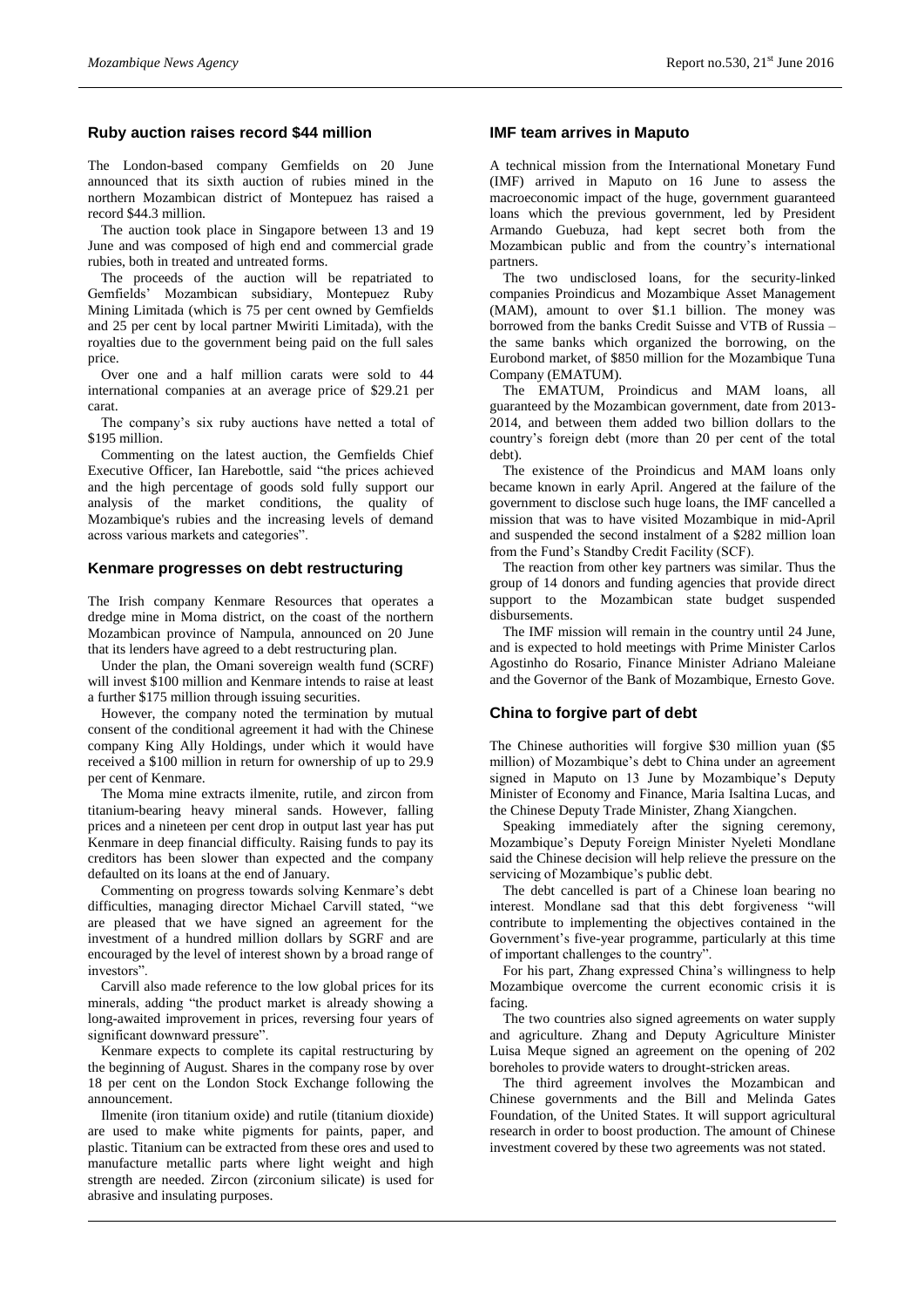# **Ruby auction raises record \$44 million**

The London-based company Gemfields on 20 June announced that its sixth auction of rubies mined in the northern Mozambican district of Montepuez has raised a record \$44.3 million.

The auction took place in Singapore between 13 and 19 June and was composed of high end and commercial grade rubies, both in treated and untreated forms.

The proceeds of the auction will be repatriated to Gemfields' Mozambican subsidiary, Montepuez Ruby Mining Limitada (which is 75 per cent owned by Gemfields and 25 per cent by local partner Mwiriti Limitada), with the royalties due to the government being paid on the full sales price.

Over one and a half million carats were sold to 44 international companies at an average price of \$29.21 per carat.

The company's six ruby auctions have netted a total of \$195 million.

Commenting on the latest auction, the Gemfields Chief Executive Officer, Ian Harebottle, said "the prices achieved and the high percentage of goods sold fully support our analysis of the market conditions, the quality of Mozambique's rubies and the increasing levels of demand across various markets and categories".

#### **Kenmare progresses on debt restructuring**

The Irish company Kenmare Resources that operates a dredge mine in Moma district, on the coast of the northern Mozambican province of Nampula, announced on 20 June that its lenders have agreed to a debt restructuring plan.

Under the plan, the Omani sovereign wealth fund (SCRF) will invest \$100 million and Kenmare intends to raise at least a further \$175 million through issuing securities.

However, the company noted the termination by mutual consent of the conditional agreement it had with the Chinese company King Ally Holdings, under which it would have received a \$100 million in return for ownership of up to 29.9 per cent of Kenmare.

The Moma mine extracts ilmenite, rutile, and zircon from titanium-bearing heavy mineral sands. However, falling prices and a nineteen per cent drop in output last year has put Kenmare in deep financial difficulty. Raising funds to pay its creditors has been slower than expected and the company defaulted on its loans at the end of January.

Commenting on progress towards solving Kenmare's debt difficulties, managing director Michael Carvill stated, "we are pleased that we have signed an agreement for the investment of a hundred million dollars by SGRF and are encouraged by the level of interest shown by a broad range of investors".

Carvill also made reference to the low global prices for its minerals, adding "the product market is already showing a long-awaited improvement in prices, reversing four years of significant downward pressure".

Kenmare expects to complete its capital restructuring by the beginning of August. Shares in the company rose by over 18 per cent on the London Stock Exchange following the announcement.

Ilmenite (iron titanium oxide) and rutile (titanium dioxide) are used to make white pigments for paints, paper, and plastic. Titanium can be extracted from these ores and used to manufacture metallic parts where light weight and high strength are needed. Zircon (zirconium silicate) is used for abrasive and insulating purposes.

## **IMF team arrives in Maputo**

A technical mission from the International Monetary Fund (IMF) arrived in Maputo on 16 June to assess the macroeconomic impact of the huge, government guaranteed loans which the previous government, led by President Armando Guebuza, had kept secret both from the Mozambican public and from the country's international partners.

The two undisclosed loans, for the security-linked companies Proindicus and Mozambique Asset Management (MAM), amount to over \$1.1 billion. The money was borrowed from the banks Credit Suisse and VTB of Russia – the same banks which organized the borrowing, on the Eurobond market, of \$850 million for the Mozambique Tuna Company (EMATUM).

The EMATUM, Proindicus and MAM loans, all guaranteed by the Mozambican government, date from 2013- 2014, and between them added two billion dollars to the country's foreign debt (more than 20 per cent of the total debt).

The existence of the Proindicus and MAM loans only became known in early April. Angered at the failure of the government to disclose such huge loans, the IMF cancelled a mission that was to have visited Mozambique in mid-April and suspended the second instalment of a \$282 million loan from the Fund's Standby Credit Facility (SCF).

The reaction from other key partners was similar. Thus the group of 14 donors and funding agencies that provide direct support to the Mozambican state budget suspended disbursements.

The IMF mission will remain in the country until 24 June, and is expected to hold meetings with Prime Minister Carlos Agostinho do Rosario, Finance Minister Adriano Maleiane and the Governor of the Bank of Mozambique, Ernesto Gove.

#### **China to forgive part of debt**

The Chinese authorities will forgive \$30 million yuan (\$5 million) of Mozambique's debt to China under an agreement signed in Maputo on 13 June by Mozambique's Deputy Minister of Economy and Finance, Maria Isaltina Lucas, and the Chinese Deputy Trade Minister, Zhang Xiangchen.

Speaking immediately after the signing ceremony, Mozambique's Deputy Foreign Minister Nyeleti Mondlane said the Chinese decision will help relieve the pressure on the servicing of Mozambique's public debt.

The debt cancelled is part of a Chinese loan bearing no interest. Mondlane sad that this debt forgiveness "will contribute to implementing the objectives contained in the Government's five-year programme, particularly at this time of important challenges to the country".

For his part, Zhang expressed China's willingness to help Mozambique overcome the current economic crisis it is facing.

The two countries also signed agreements on water supply and agriculture. Zhang and Deputy Agriculture Minister Luisa Meque signed an agreement on the opening of 202 boreholes to provide waters to drought-stricken areas.

The third agreement involves the Mozambican and Chinese governments and the Bill and Melinda Gates Foundation, of the United States. It will support agricultural research in order to boost production. The amount of Chinese investment covered by these two agreements was not stated.